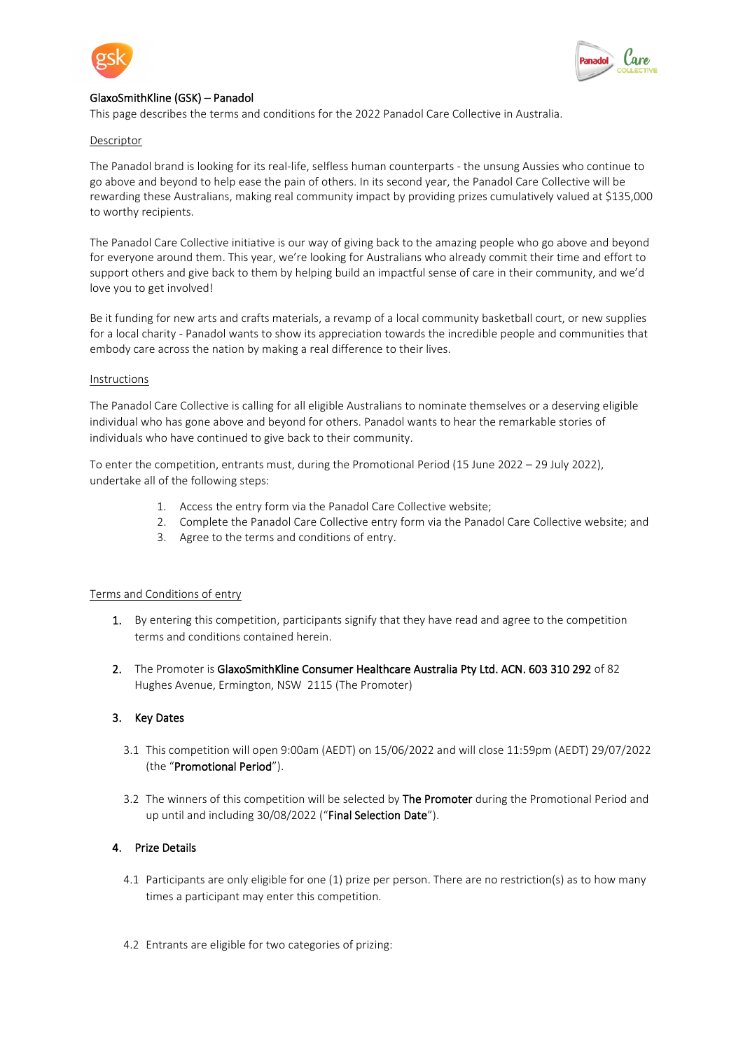



# GlaxoSmithKline (GSK) – Panadol

This page describes the terms and conditions for the 2022 Panadol Care Collective in Australia.

### Descriptor

The Panadol brand is looking for its real-life, selfless human counterparts - the unsung Aussies who continue to go above and beyond to help ease the pain of others. In its second year, the Panadol Care Collective will be rewarding these Australians, making real community impact by providing prizes cumulatively valued at \$135,000 to worthy recipients.

The Panadol Care Collective initiative is our way of giving back to the amazing people who go above and beyond for everyone around them. This year, we're looking for Australians who already commit their time and effort to support others and give back to them by helping build an impactful sense of care in their community, and we'd love you to get involved!

Be it funding for new arts and crafts materials, a revamp of a local community basketball court, or new supplies for a local charity - Panadol wants to show its appreciation towards the incredible people and communities that embody care across the nation by making a real difference to their lives.

### Instructions

The Panadol Care Collective is calling for all eligible Australians to nominate themselves or a deserving eligible individual who has gone above and beyond for others. Panadol wants to hear the remarkable stories of individuals who have continued to give back to their community.

To enter the competition, entrants must, during the Promotional Period (15 June 2022 – 29 July 2022), undertake all of the following steps:

- 1. Access the entry form via the Panadol Care Collective website;
- 2. Complete the Panadol Care Collective entry form via the Panadol Care Collective website; and
- 3. Agree to the terms and conditions of entry.

### Terms and Conditions of entry

- 1. By entering this competition, participants signify that they have read and agree to the competition terms and conditions contained herein.
- 2. The Promoter is GlaxoSmithKline Consumer Healthcare Australia Pty Ltd. ACN. 603 310 292 of 82 Hughes Avenue, Ermington, NSW 2115 (The Promoter)

# 3. Key Dates

- 3.1 This competition will open 9:00am (AEDT) on 15/06/2022 and will close 11:59pm (AEDT) 29/07/2022 (the "Promotional Period").
- 3.2 The winners of this competition will be selected by The Promoter during the Promotional Period and up until and including 30/08/2022 ("Final Selection Date").

# 4. Prize Details

- 4.1 Participants are only eligible for one (1) prize per person. There are no restriction(s) as to how many times a participant may enter this competition.
- 4.2 Entrants are eligible for two categories of prizing: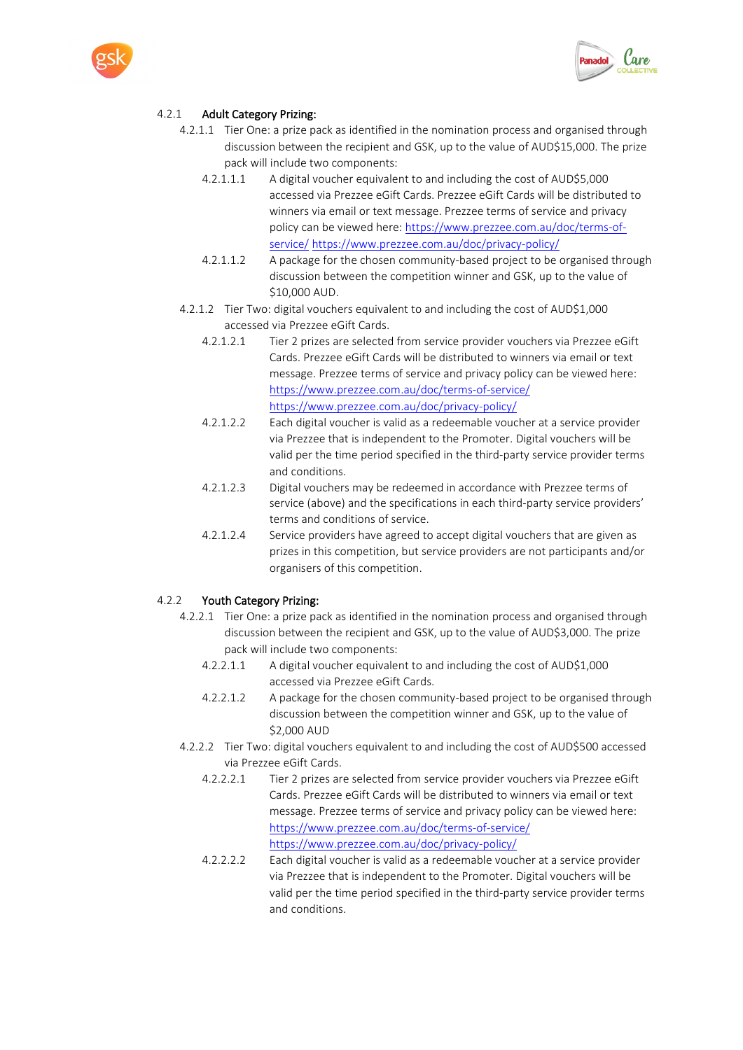



# 4.2.1 Adult Category Prizing:

- 4.2.1.1 Tier One: a prize pack as identified in the nomination process and organised through discussion between the recipient and GSK, up to the value of AUD\$15,000. The prize pack will include two components:
	- 4.2.1.1.1 A digital voucher equivalent to and including the cost of AUD\$5,000 accessed via Prezzee eGift Cards. Prezzee eGift Cards will be distributed to winners via email or text message. Prezzee terms of service and privacy policy can be viewed here: [https://www.prezzee.com.au/doc/terms-of](https://www.prezzee.com.au/doc/terms-of-service/)[service/](https://www.prezzee.com.au/doc/terms-of-service/) <https://www.prezzee.com.au/doc/privacy-policy/>
	- 4.2.1.1.2 A package for the chosen community-based project to be organised through discussion between the competition winner and GSK, up to the value of \$10,000 AUD.
- 4.2.1.2 Tier Two: digital vouchers equivalent to and including the cost of AUD\$1,000 accessed via Prezzee eGift Cards.
	- 4.2.1.2.1 Tier 2 prizes are selected from service provider vouchers via Prezzee eGift Cards. Prezzee eGift Cards will be distributed to winners via email or text message. Prezzee terms of service and privacy policy can be viewed here: <https://www.prezzee.com.au/doc/terms-of-service/> <https://www.prezzee.com.au/doc/privacy-policy/>
	- 4.2.1.2.2 Each digital voucher is valid as a redeemable voucher at a service provider via Prezzee that is independent to the Promoter. Digital vouchers will be valid per the time period specified in the third-party service provider terms and conditions.
	- 4.2.1.2.3 Digital vouchers may be redeemed in accordance with Prezzee terms of service (above) and the specifications in each third-party service providers' terms and conditions of service.
	- 4.2.1.2.4 Service providers have agreed to accept digital vouchers that are given as prizes in this competition, but service providers are not participants and/or organisers of this competition.

### 4.2.2 Youth Category Prizing:

- 4.2.2.1 Tier One: a prize pack as identified in the nomination process and organised through discussion between the recipient and GSK, up to the value of AUD\$3,000. The prize pack will include two components:
	- 4.2.2.1.1 A digital voucher equivalent to and including the cost of AUD\$1,000 accessed via Prezzee eGift Cards.
	- 4.2.2.1.2 A package for the chosen community-based project to be organised through discussion between the competition winner and GSK, up to the value of \$2,000 AUD
- 4.2.2.2 Tier Two: digital vouchers equivalent to and including the cost of AUD\$500 accessed via Prezzee eGift Cards.
	- 4.2.2.2.1 Tier 2 prizes are selected from service provider vouchers via Prezzee eGift Cards. Prezzee eGift Cards will be distributed to winners via email or text message. Prezzee terms of service and privacy policy can be viewed here: <https://www.prezzee.com.au/doc/terms-of-service/> <https://www.prezzee.com.au/doc/privacy-policy/>
	- 4.2.2.2.2 Each digital voucher is valid as a redeemable voucher at a service provider via Prezzee that is independent to the Promoter. Digital vouchers will be valid per the time period specified in the third-party service provider terms and conditions.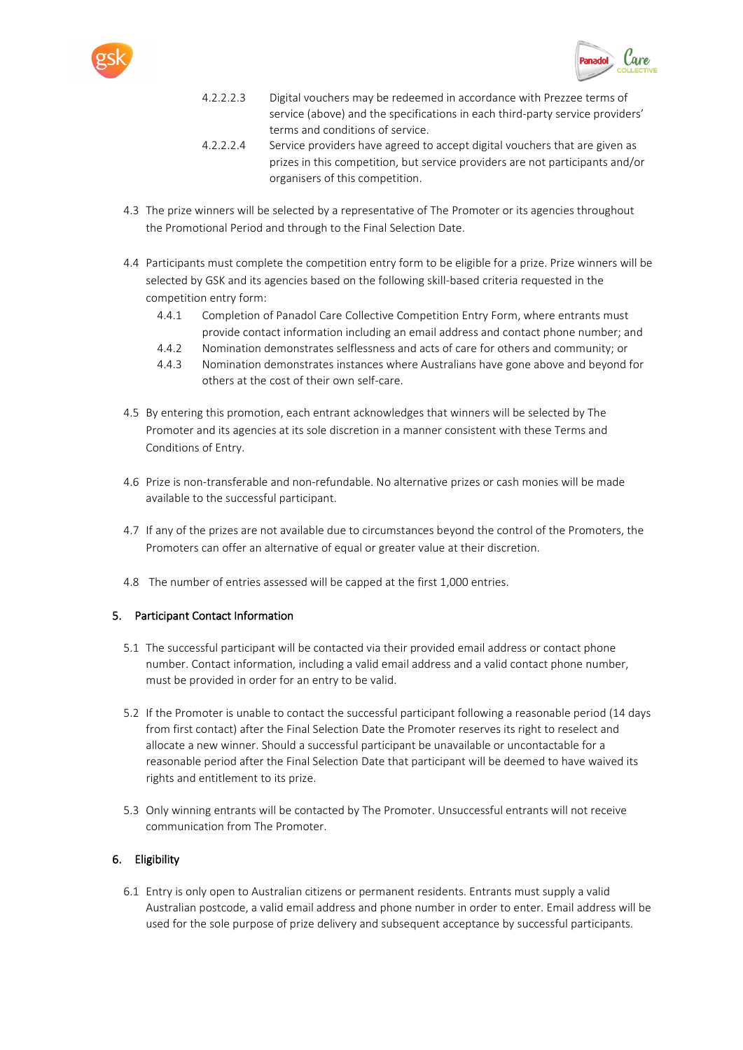



- 4.2.2.2.3 Digital vouchers may be redeemed in accordance with Prezzee terms of service (above) and the specifications in each third-party service providers' terms and conditions of service.
- 4.2.2.2.4 Service providers have agreed to accept digital vouchers that are given as prizes in this competition, but service providers are not participants and/or organisers of this competition.
- 4.3 The prize winners will be selected by a representative of The Promoter or its agencies throughout the Promotional Period and through to the Final Selection Date.
- 4.4 Participants must complete the competition entry form to be eligible for a prize. Prize winners will be selected by GSK and its agencies based on the following skill-based criteria requested in the competition entry form:
	- 4.4.1 Completion of Panadol Care Collective Competition Entry Form, where entrants must provide contact information including an email address and contact phone number; and
	- 4.4.2 Nomination demonstrates selflessness and acts of care for others and community; or
	- 4.4.3 Nomination demonstrates instances where Australians have gone above and beyond for others at the cost of their own self-care.
- 4.5 By entering this promotion, each entrant acknowledges that winners will be selected by The Promoter and its agencies at its sole discretion in a manner consistent with these Terms and Conditions of Entry.
- 4.6 Prize is non-transferable and non-refundable. No alternative prizes or cash monies will be made available to the successful participant.
- 4.7 If any of the prizes are not available due to circumstances beyond the control of the Promoters, the Promoters can offer an alternative of equal or greater value at their discretion.
- 4.8 The number of entries assessed will be capped at the first 1,000 entries.

# 5. Participant Contact Information

- 5.1 The successful participant will be contacted via their provided email address or contact phone number. Contact information, including a valid email address and a valid contact phone number, must be provided in order for an entry to be valid.
- 5.2 If the Promoter is unable to contact the successful participant following a reasonable period (14 days from first contact) after the Final Selection Date the Promoter reserves its right to reselect and allocate a new winner. Should a successful participant be unavailable or uncontactable for a reasonable period after the Final Selection Date that participant will be deemed to have waived its rights and entitlement to its prize.
- 5.3 Only winning entrants will be contacted by The Promoter. Unsuccessful entrants will not receive communication from The Promoter.

# 6. Eligibility

6.1 Entry is only open to Australian citizens or permanent residents. Entrants must supply a valid Australian postcode, a valid email address and phone number in order to enter. Email address will be used for the sole purpose of prize delivery and subsequent acceptance by successful participants.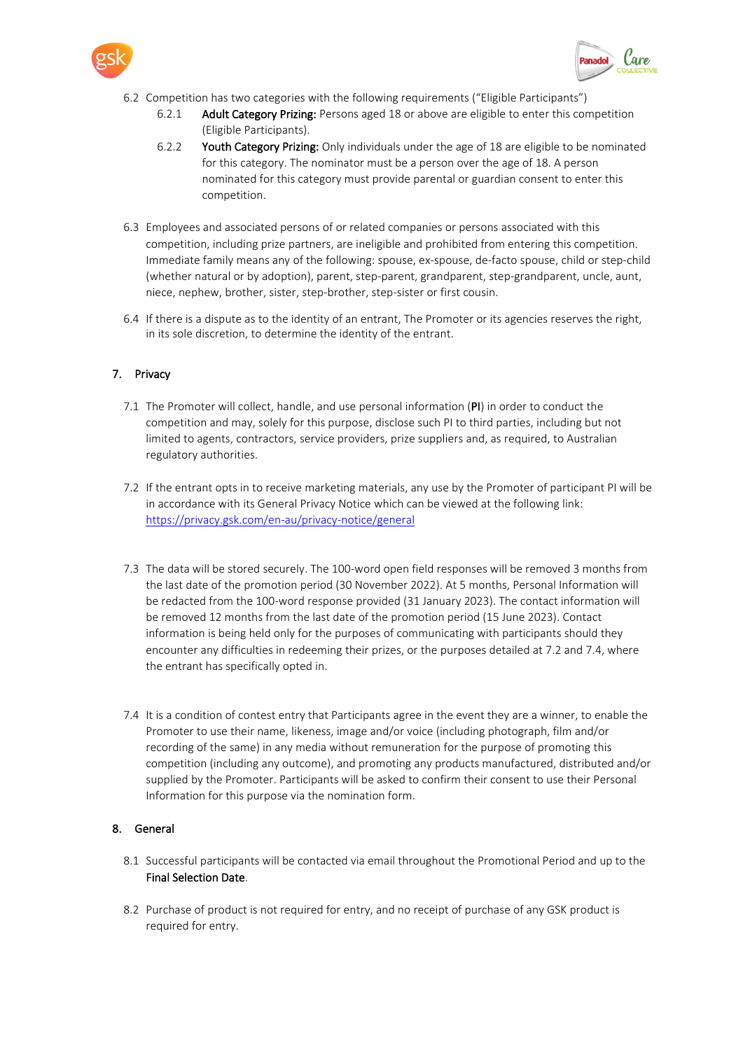



- 6.2 Competition has two categories with the following requirements ("Eligible Participants")
	- 6.2.1 Adult Category Prizing: Persons aged 18 or above are eligible to enter this competition (Eligible Participants).
	- 6.2.2 Youth Category Prizing: Only individuals under the age of 18 are eligible to be nominated for this category. The nominator must be a person over the age of 18. A person nominated for this category must provide parental or guardian consent to enter this competition.
- 6.3 Employees and associated persons of or related companies or persons associated with this competition, including prize partners, are ineligible and prohibited from entering this competition. Immediate family means any of the following: spouse, ex-spouse, de-facto spouse, child or step-child (whether natural or by adoption), parent, step-parent, grandparent, step-grandparent, uncle, aunt, niece, nephew, brother, sister, step-brother, step-sister or first cousin.
- 6.4 If there is a dispute as to the identity of an entrant, The Promoter or its agencies reserves the right, in its sole discretion, to determine the identity of the entrant.

# 7. Privacy

- 7.1 The Promoter will collect, handle, and use personal information (PI) in order to conduct the competition and may, solely for this purpose, disclose such PI to third parties, including but not limited to agents, contractors, service providers, prize suppliers and, as required, to Australian regulatory authorities.
- 7.2 If the entrant opts in to receive marketing materials, any use by the Promoter of participant PI will be in accordance with its General Privacy Notice which can be viewed at the following link: <https://privacy.gsk.com/en-au/privacy-notice/general>
- 7.3 The data will be stored securely. The 100-word open field responses will be removed 3 months from the last date of the promotion period (30 November 2022). At 5 months, Personal Information will be redacted from the 100-word response provided (31 January 2023). The contact information will be removed 12 months from the last date of the promotion period (15 June 2023). Contact information is being held only for the purposes of communicating with participants should they encounter any difficulties in redeeming their prizes, or the purposes detailed at 7.2 and 7.4, where the entrant has specifically opted in.
- 7.4 It is a condition of contest entry that Participants agree in the event they are a winner, to enable the Promoter to use their name, likeness, image and/or voice (including photograph, film and/or recording of the same) in any media without remuneration for the purpose of promoting this competition (including any outcome), and promoting any products manufactured, distributed and/or supplied by the Promoter. Participants will be asked to confirm their consent to use their Personal Information for this purpose via the nomination form.

### 8. General

- 8.1 Successful participants will be contacted via email throughout the Promotional Period and up to the Final Selection Date.
- 8.2 Purchase of product is not required for entry, and no receipt of purchase of any GSK product is required for entry.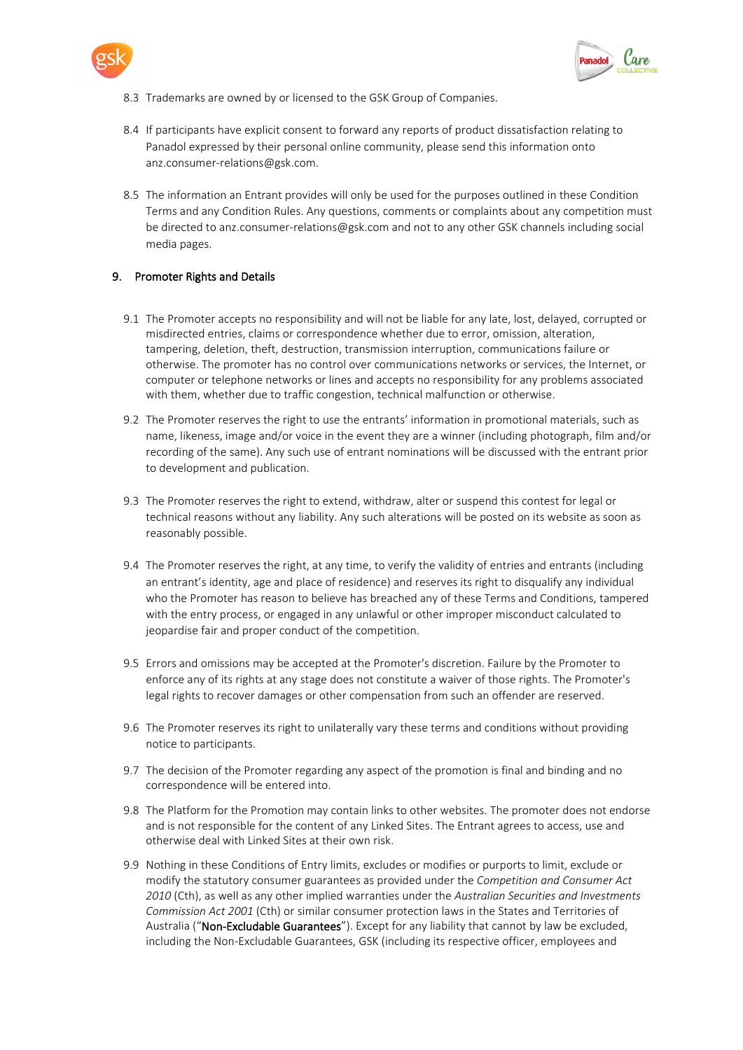



- 8.3 Trademarks are owned by or licensed to the GSK Group of Companies.
- 8.4 If participants have explicit consent to forward any reports of product dissatisfaction relating to Panadol expressed by their personal online community, please send this information onto anz.consumer-relations@gsk.com.
- 8.5 The information an Entrant provides will only be used for the purposes outlined in these Condition Terms and any Condition Rules. Any questions, comments or complaints about any competition must be directed to anz.consumer-relations@gsk.com and not to any other GSK channels including social media pages.

#### 9. Promoter Rights and Details

- 9.1 The Promoter accepts no responsibility and will not be liable for any late, lost, delayed, corrupted or misdirected entries, claims or correspondence whether due to error, omission, alteration, tampering, deletion, theft, destruction, transmission interruption, communications failure or otherwise. The promoter has no control over communications networks or services, the Internet, or computer or telephone networks or lines and accepts no responsibility for any problems associated with them, whether due to traffic congestion, technical malfunction or otherwise.
- 9.2 The Promoter reserves the right to use the entrants' information in promotional materials, such as name, likeness, image and/or voice in the event they are a winner (including photograph, film and/or recording of the same). Any such use of entrant nominations will be discussed with the entrant prior to development and publication.
- 9.3 The Promoter reserves the right to extend, withdraw, alter or suspend this contest for legal or technical reasons without any liability. Any such alterations will be posted on its website as soon as reasonably possible.
- 9.4 The Promoter reserves the right, at any time, to verify the validity of entries and entrants (including an entrant's identity, age and place of residence) and reserves its right to disqualify any individual who the Promoter has reason to believe has breached any of these Terms and Conditions, tampered with the entry process, or engaged in any unlawful or other improper misconduct calculated to jeopardise fair and proper conduct of the competition.
- 9.5 Errors and omissions may be accepted at the Promoter's discretion. Failure by the Promoter to enforce any of its rights at any stage does not constitute a waiver of those rights. The Promoter's legal rights to recover damages or other compensation from such an offender are reserved.
- 9.6 The Promoter reserves its right to unilaterally vary these terms and conditions without providing notice to participants.
- 9.7 The decision of the Promoter regarding any aspect of the promotion is final and binding and no correspondence will be entered into.
- 9.8 The Platform for the Promotion may contain links to other websites. The promoter does not endorse and is not responsible for the content of any Linked Sites. The Entrant agrees to access, use and otherwise deal with Linked Sites at their own risk.
- 9.9 Nothing in these Conditions of Entry limits, excludes or modifies or purports to limit, exclude or modify the statutory consumer guarantees as provided under the *Competition and Consumer Act 2010* (Cth), as well as any other implied warranties under the *Australian Securities and Investments Commission Act 2001* (Cth) or similar consumer protection laws in the States and Territories of Australia ("Non-Excludable Guarantees"). Except for any liability that cannot by law be excluded, including the Non-Excludable Guarantees, GSK (including its respective officer, employees and